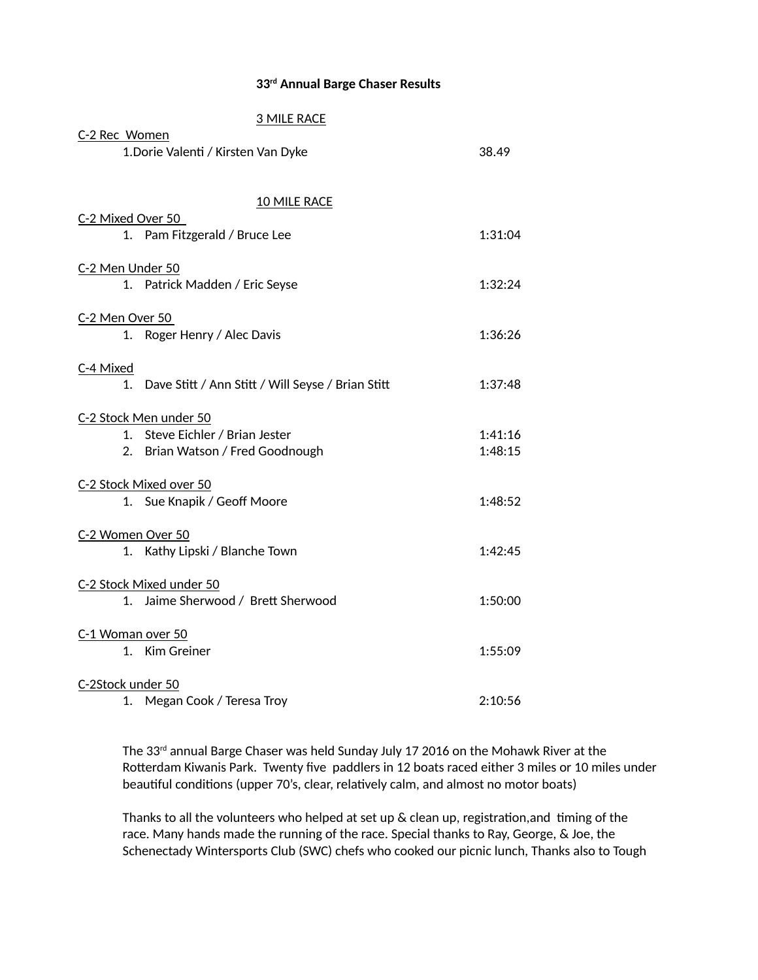## **33rd Annual Barge Chaser Results**

## 3 MILE RACE C-2 Rec Women 1.Dorie Valenti / Kirsten Van Dyke 38.49 10 MILE RACE C-2 Mixed Over 50 1. Pam Fitzgerald / Bruce Lee 1:31:04 C-2 Men Under 50 1. Patrick Madden / Eric Seyse 1:32:24 C-2 Men Over 50 1. Roger Henry / Alec Davis 1:36:26 C-4 Mixed 1. Dave Stitt / Ann Stitt / Will Seyse / Brian Stitt 1:37:48 C-2 Stock Men under 50 1. Steve Eichler / Brian Jester 1:41:16 2. Brian Watson / Fred Goodnough 1:48:15 C-2 Stock Mixed over 50 1. Sue Knapik / Geoff Moore 1:48:52 C-2 Women Over 50 1. Kathy Lipski / Blanche Town 1:42:45 C-2 Stock Mixed under 50 1. Jaime Sherwood / Brett Sherwood 1:50:00 C-1 Woman over 50 1. Kim Greiner 1:55:09 C-2Stock under 50 1. Megan Cook / Teresa Troy 2:10:56

The 33rd annual Barge Chaser was held Sunday July 17 2016 on the Mohawk River at the Rotterdam Kiwanis Park. Twenty five paddlers in 12 boats raced either 3 miles or 10 miles under beautiful conditions (upper 70's, clear, relatively calm, and almost no motor boats)

Thanks to all the volunteers who helped at set up  $\&$  clean up, registration, and timing of the race. Many hands made the running of the race. Special thanks to Ray, George, & Joe, the Schenectady Wintersports Club (SWC) chefs who cooked our picnic lunch, Thanks also to Tough